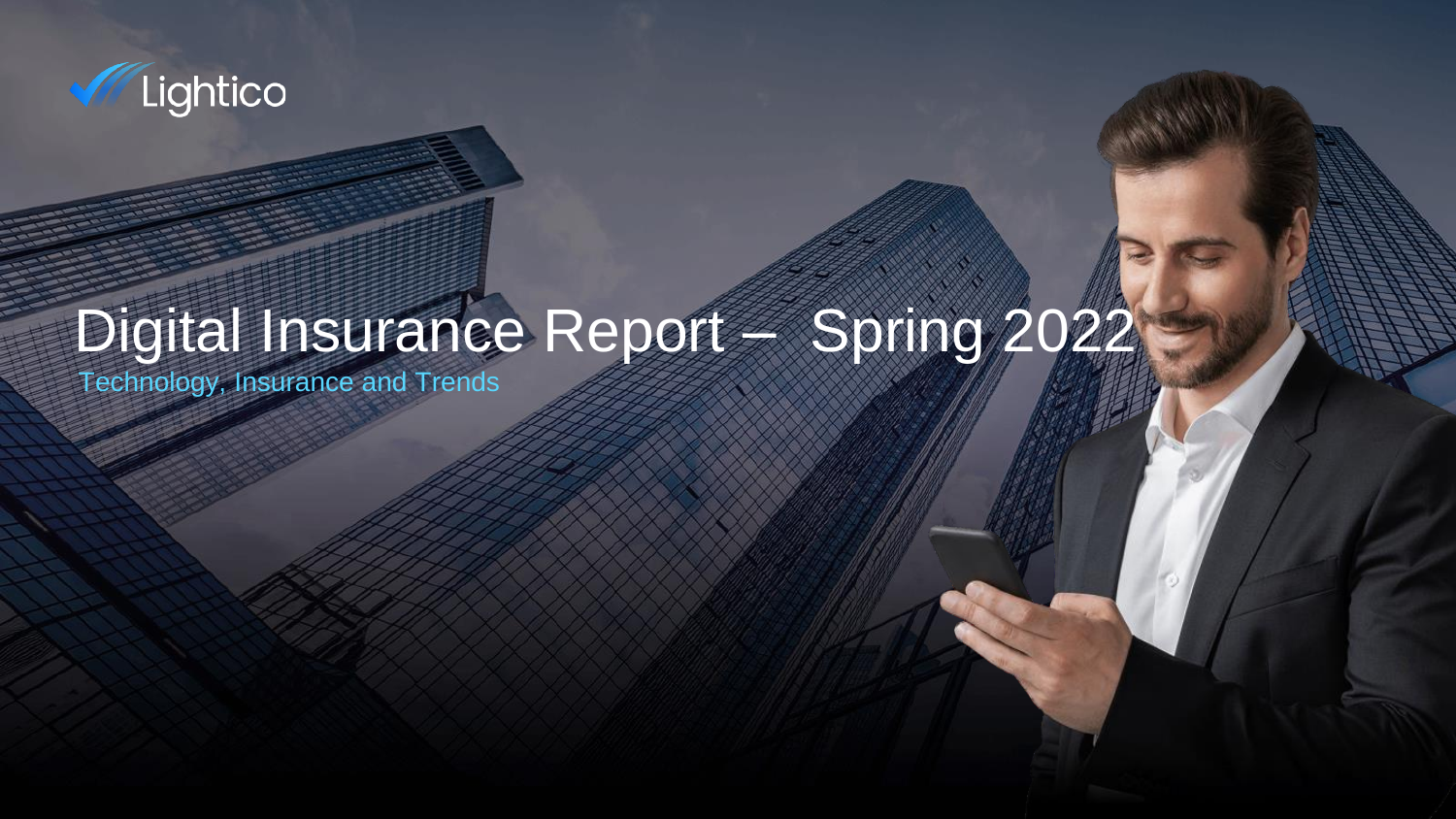

# Digital Insurance Report – Spring 2022

Technology, Insurance and Trends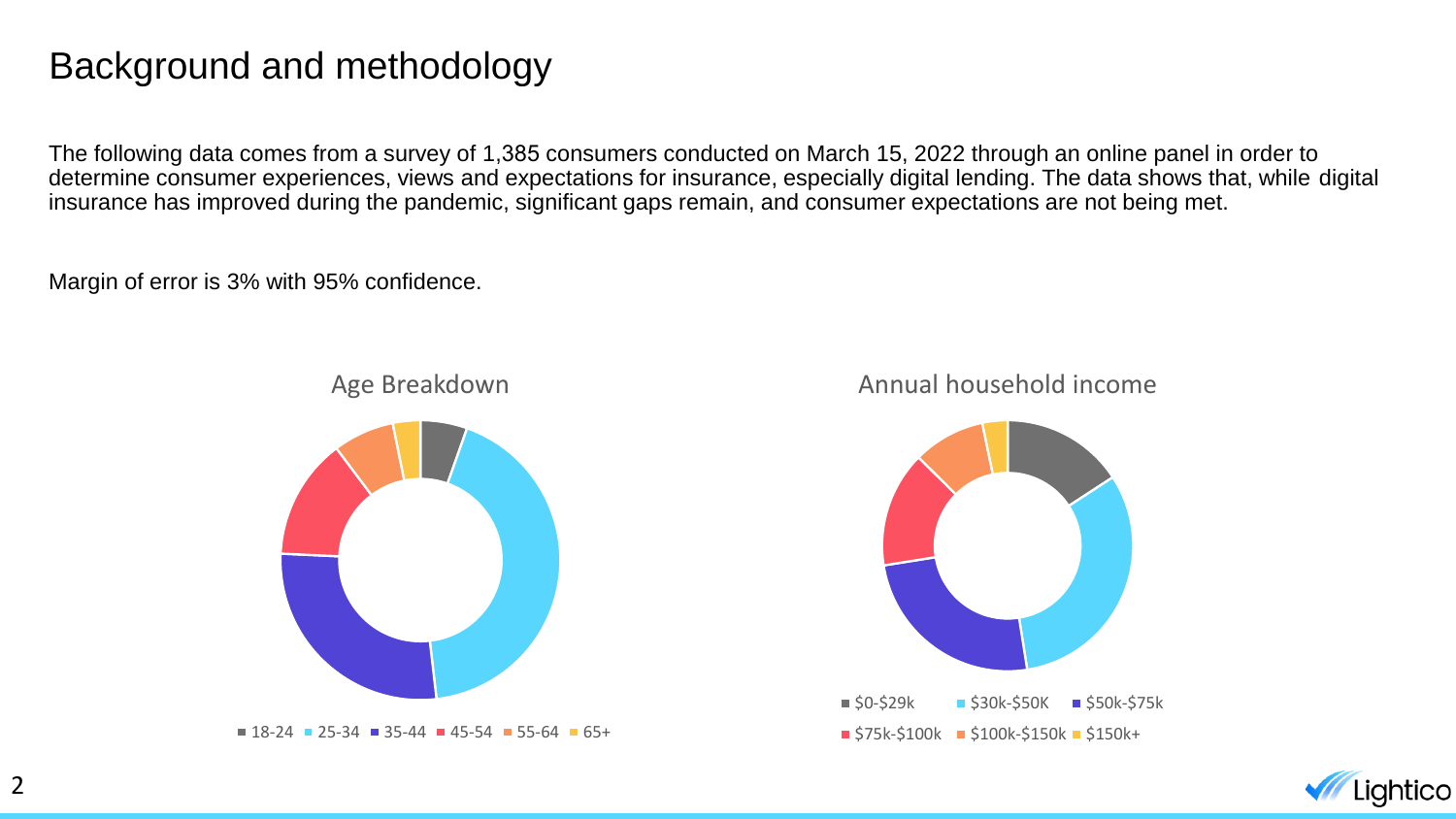#### Background and methodology

The following data comes from a survey of 1,385 consumers conducted on March 15, 2022 through an online panel in order to determine consumer experiences, views and expectations for insurance, especially digital lending. The data shows that, while digital insurance has improved during the pandemic, significant gaps remain, and consumer expectations are not being met.

Margin of error is 3% with 95% confidence.



 $\blacksquare$  18-24  $\blacksquare$  25-34  $\blacksquare$  35-44  $\blacksquare$  45-54  $\blacksquare$  55-64  $\blacksquare$  65+

#### Annual household income



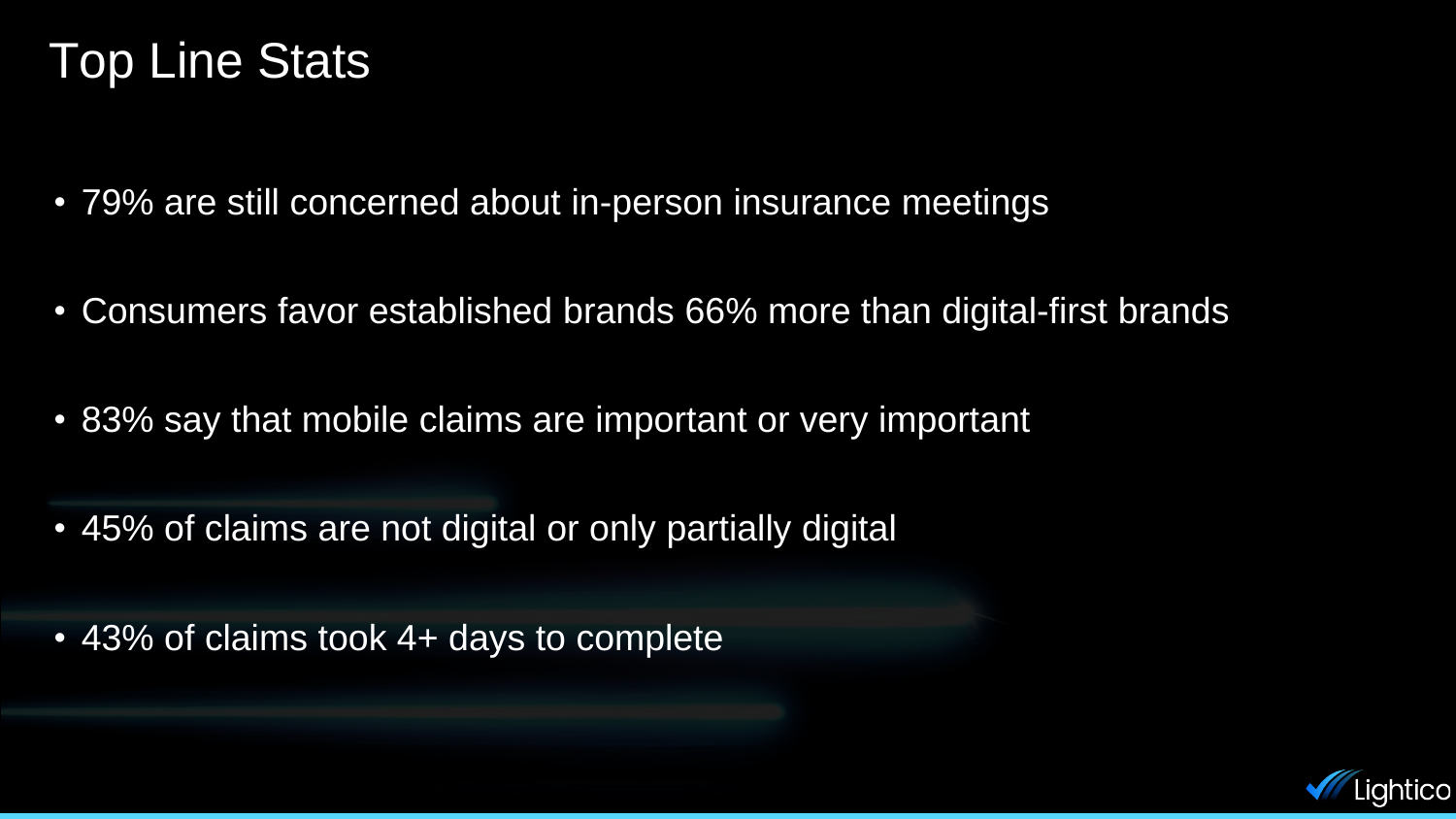### Top Line Stats

- 79% are still concerned about in-person insurance meetings
- Consumers favor established brands 66% more than digital-first brands
- 83% say that mobile claims are important or very important
- 45% of claims are not digital or only partially digital
- 43% of claims took 4+ days to complete

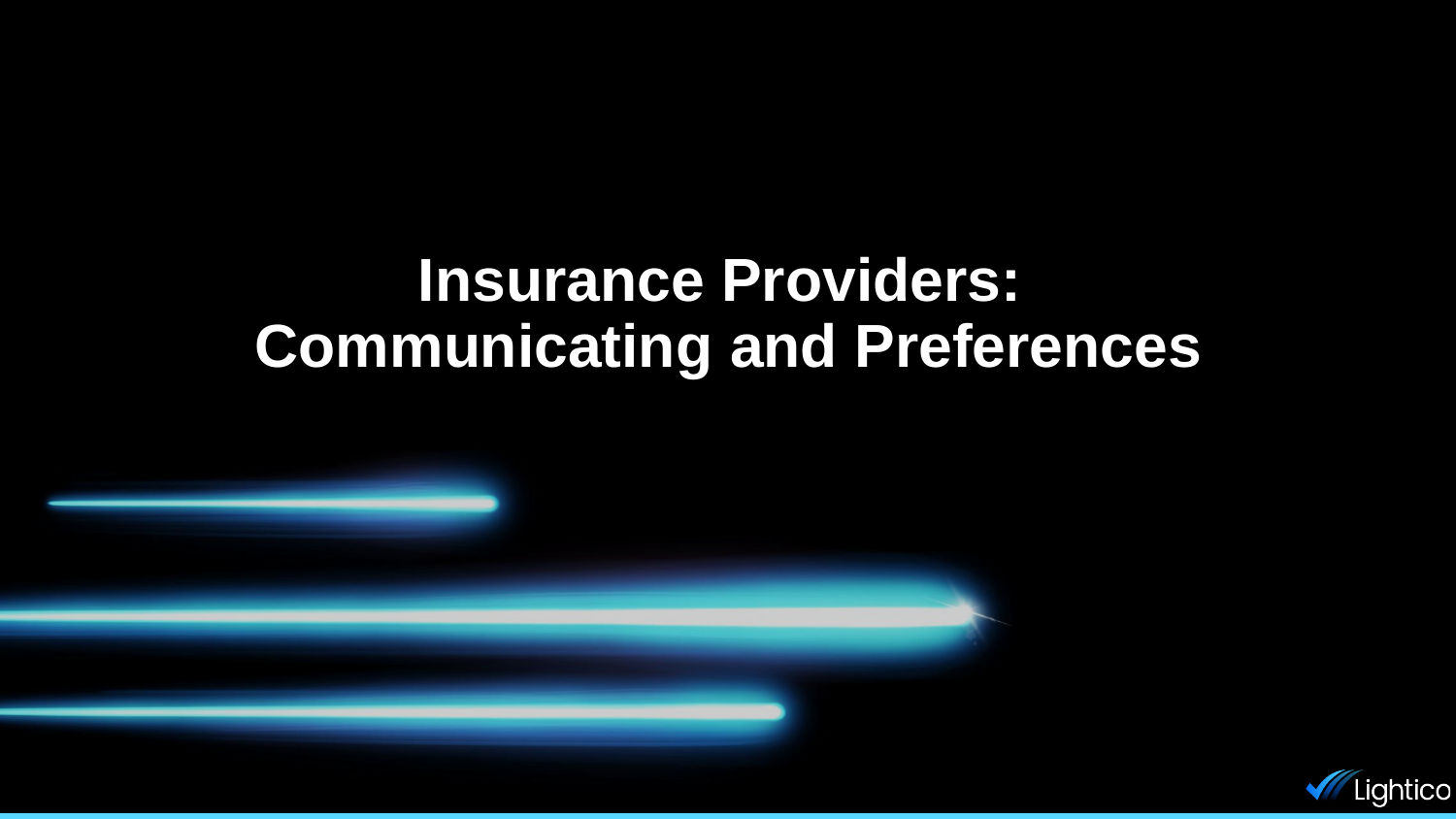## **Insurance Providers: Communicating and Preferences**

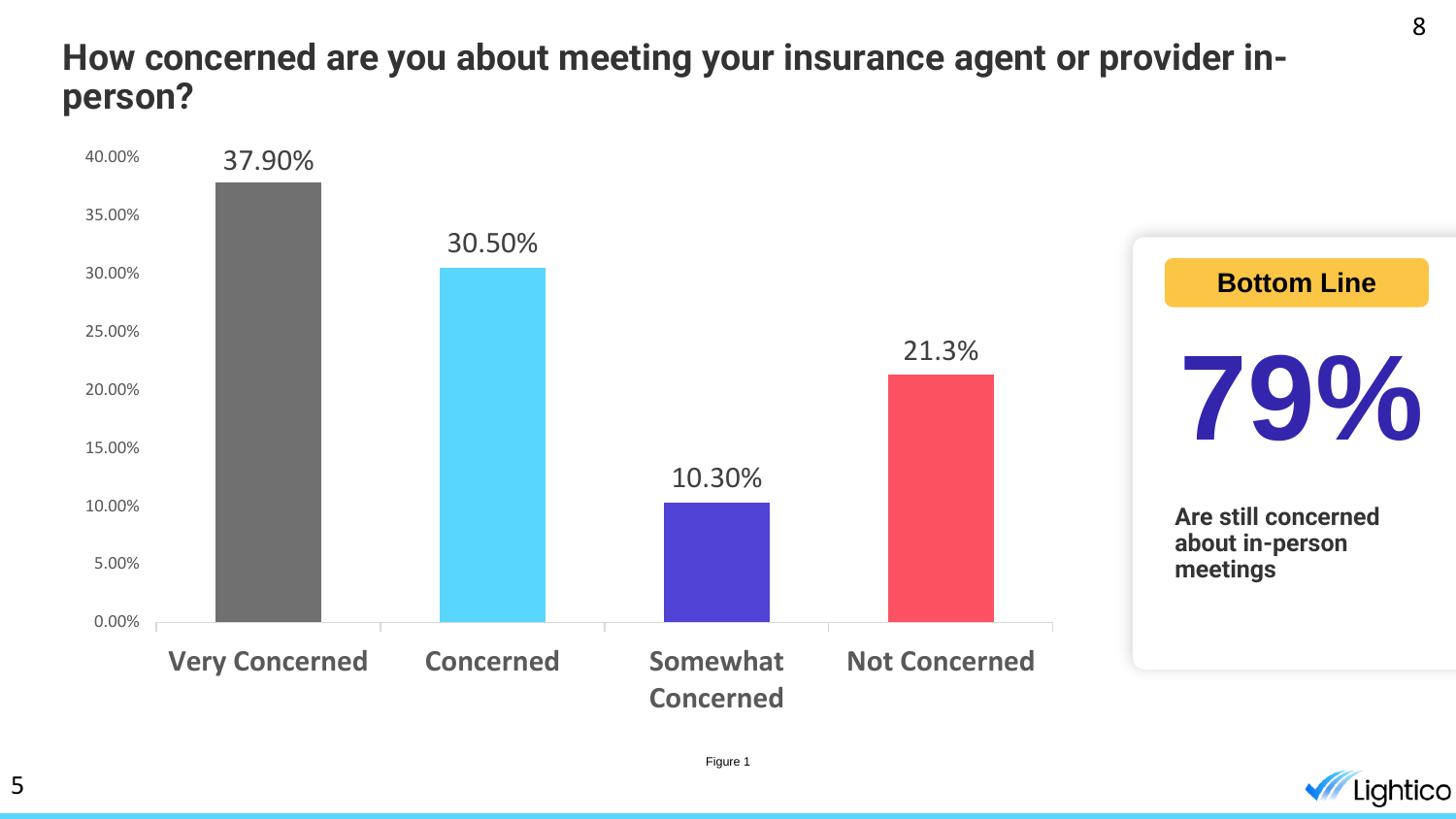#### **How concerned are you about meeting your insurance agent or provider inperson?**



Figure 1

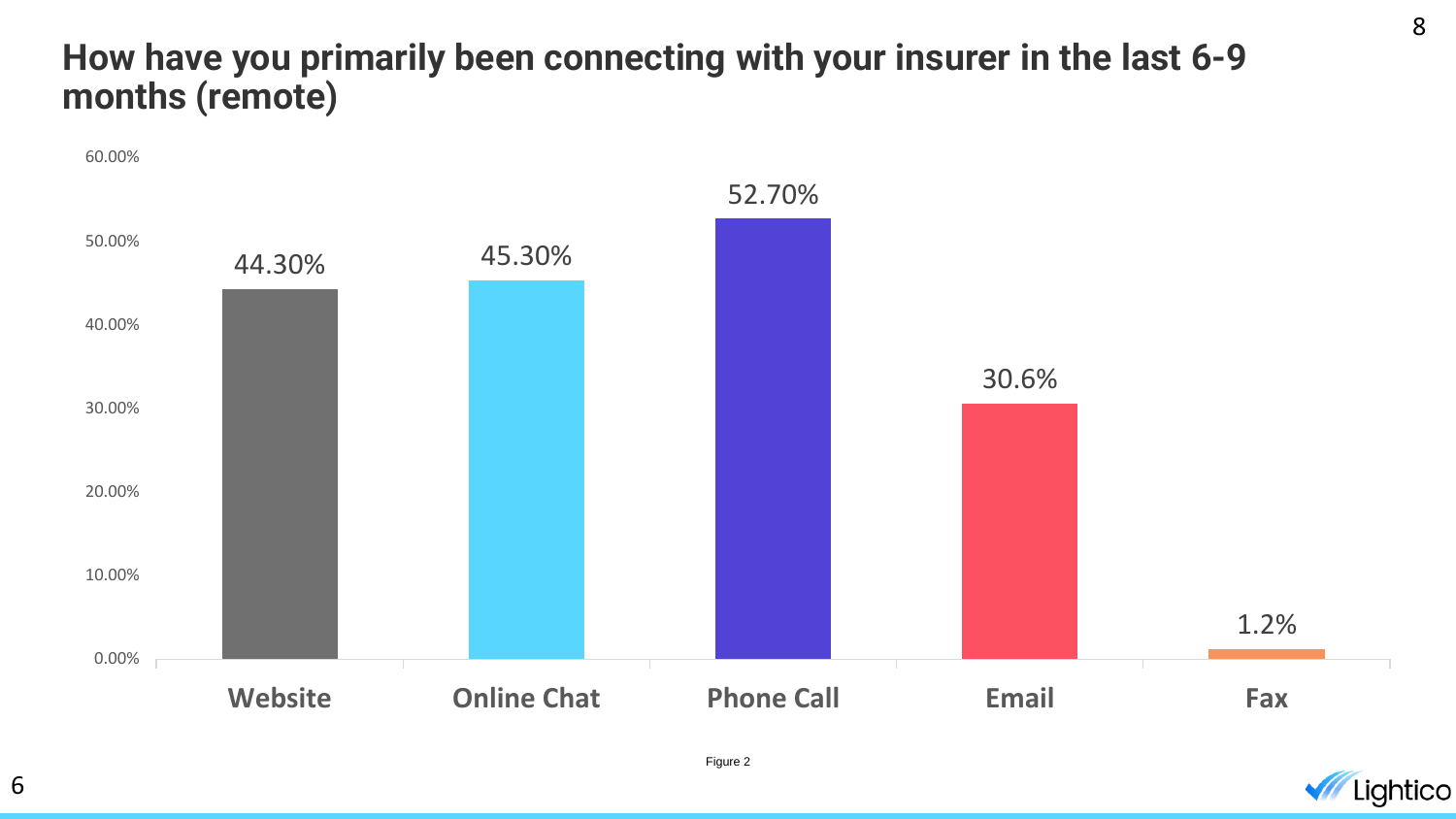#### **How have you primarily been connecting with your insurer in the last 6-9 months (remote)**



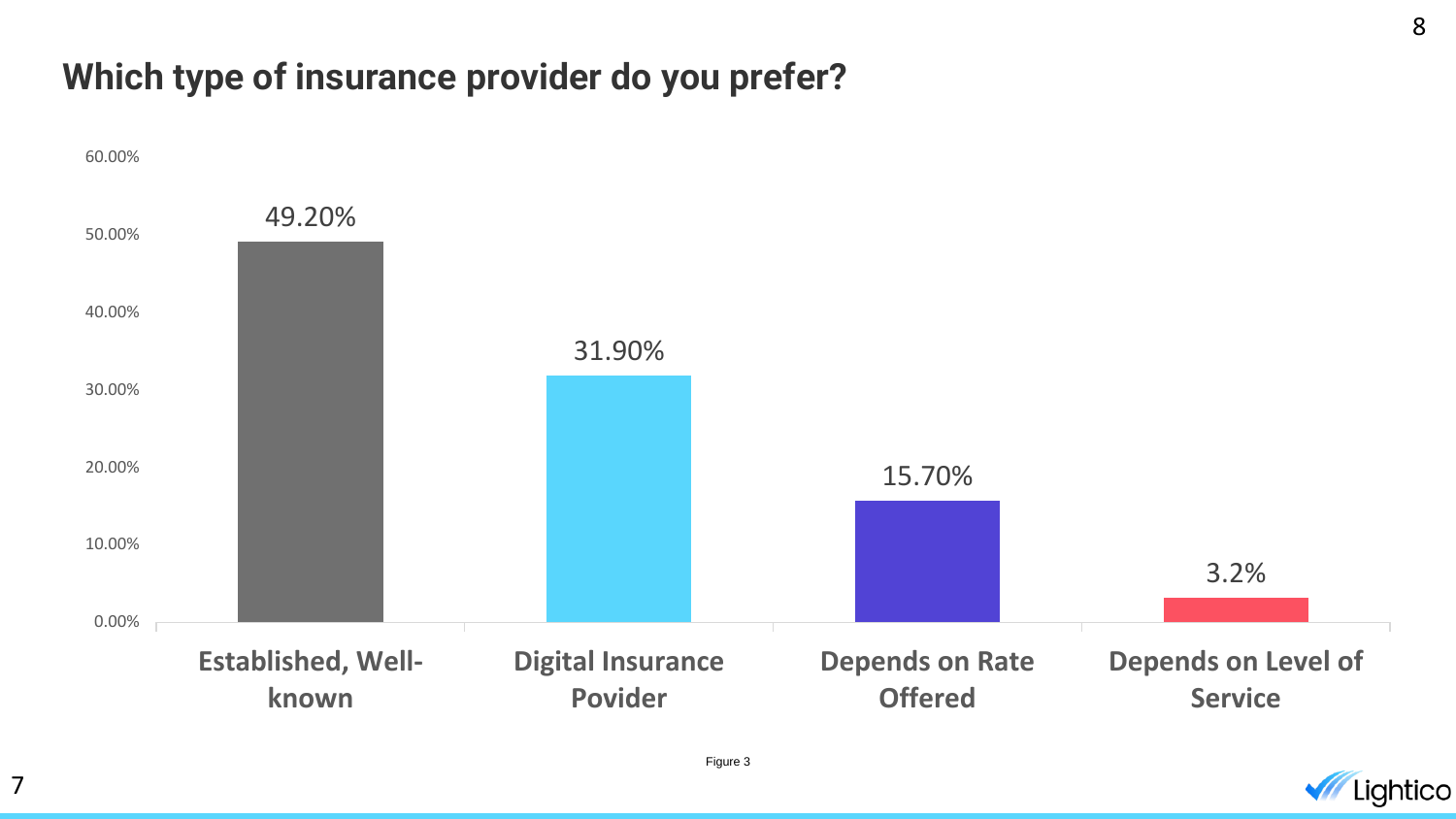#### **Which type of insurance provider do you prefer?**

7



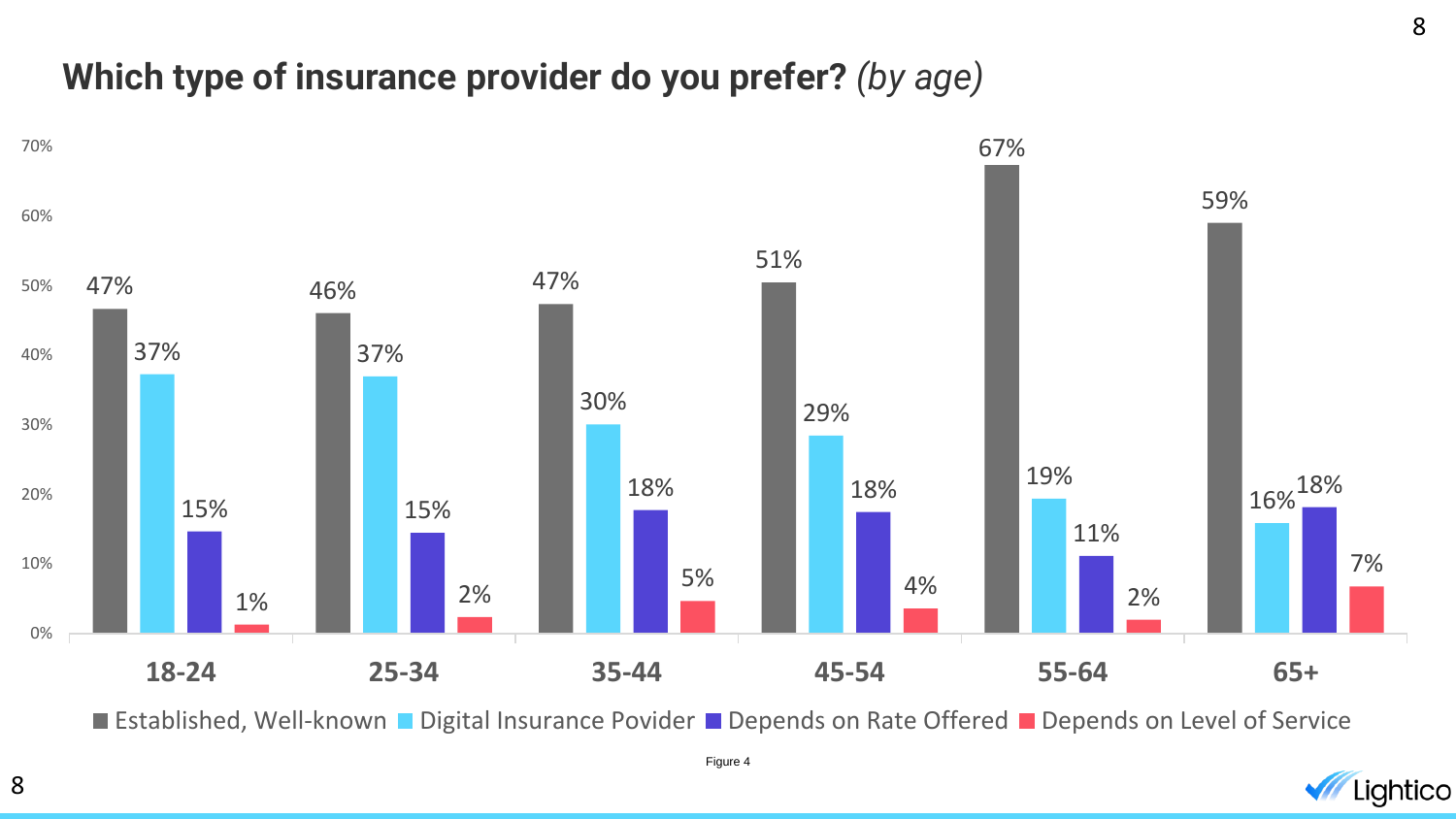#### **Which type of insurance provider do you prefer?** *(by age)*



■ Established, Well-known ■ Digital Insurance Povider ■ Depends on Rate Offered ■ Depends on Level of Service



8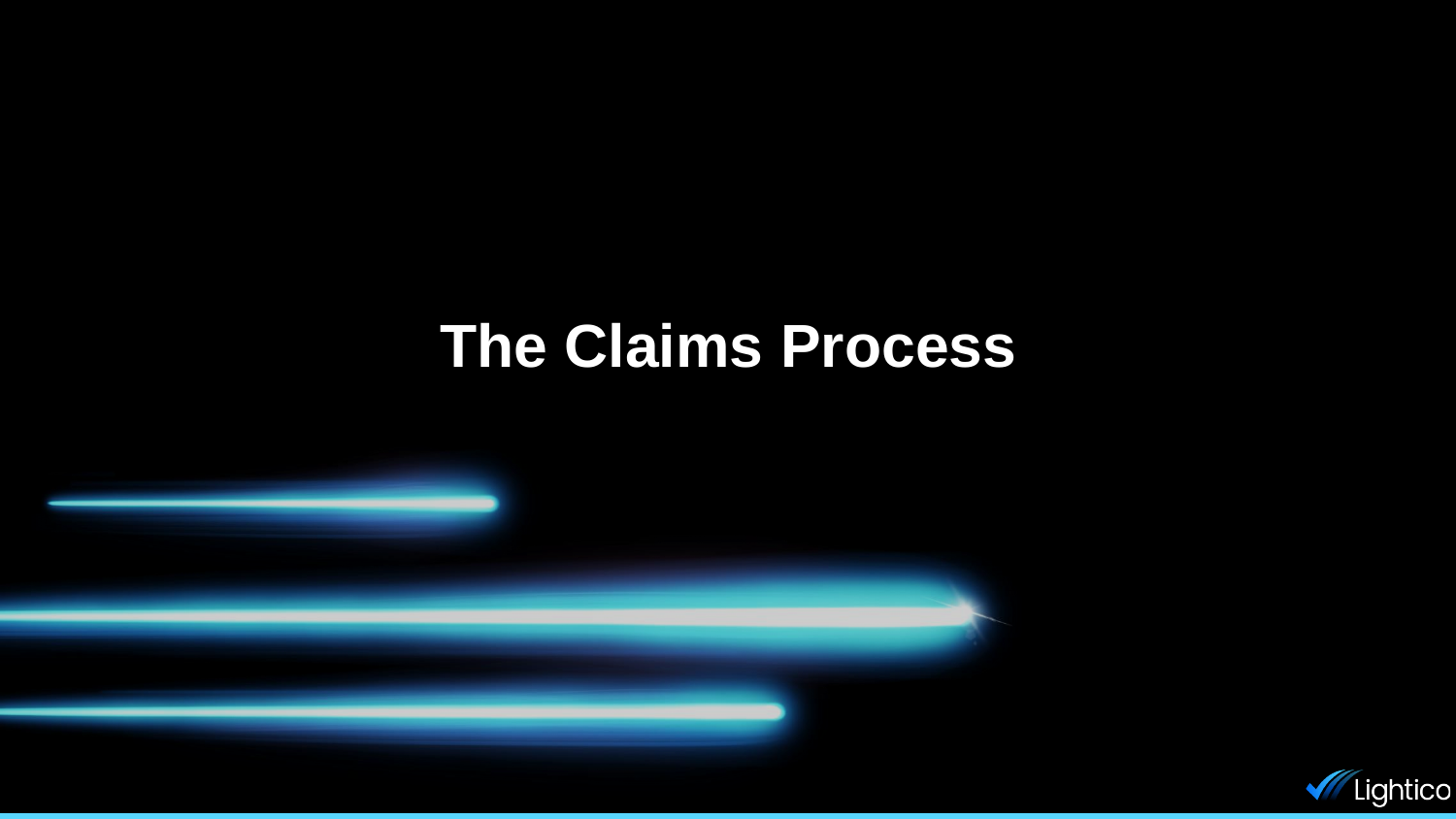### **The Claims Process**

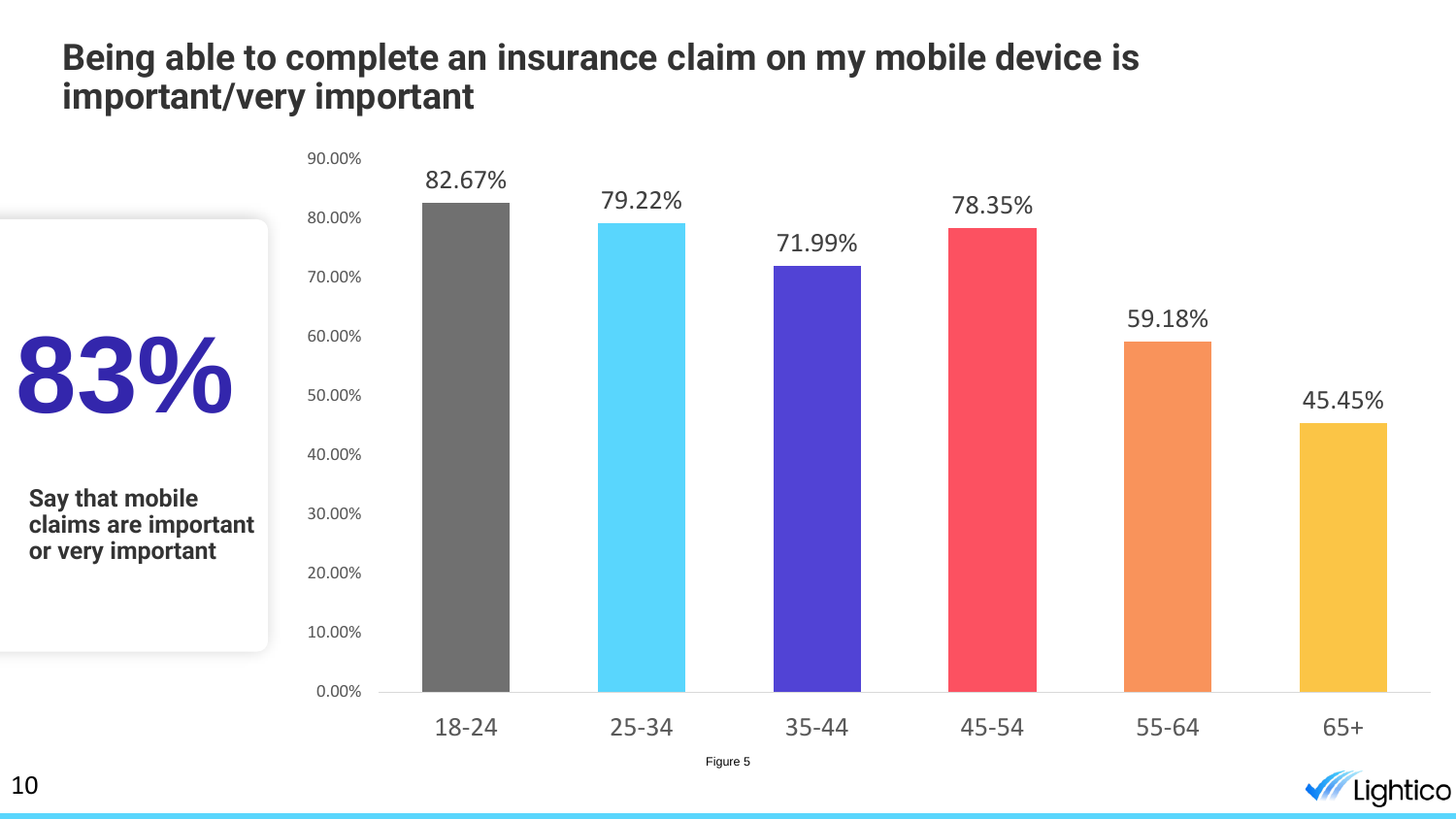#### **Being able to complete an insurance claim on my mobile device is important/very important**



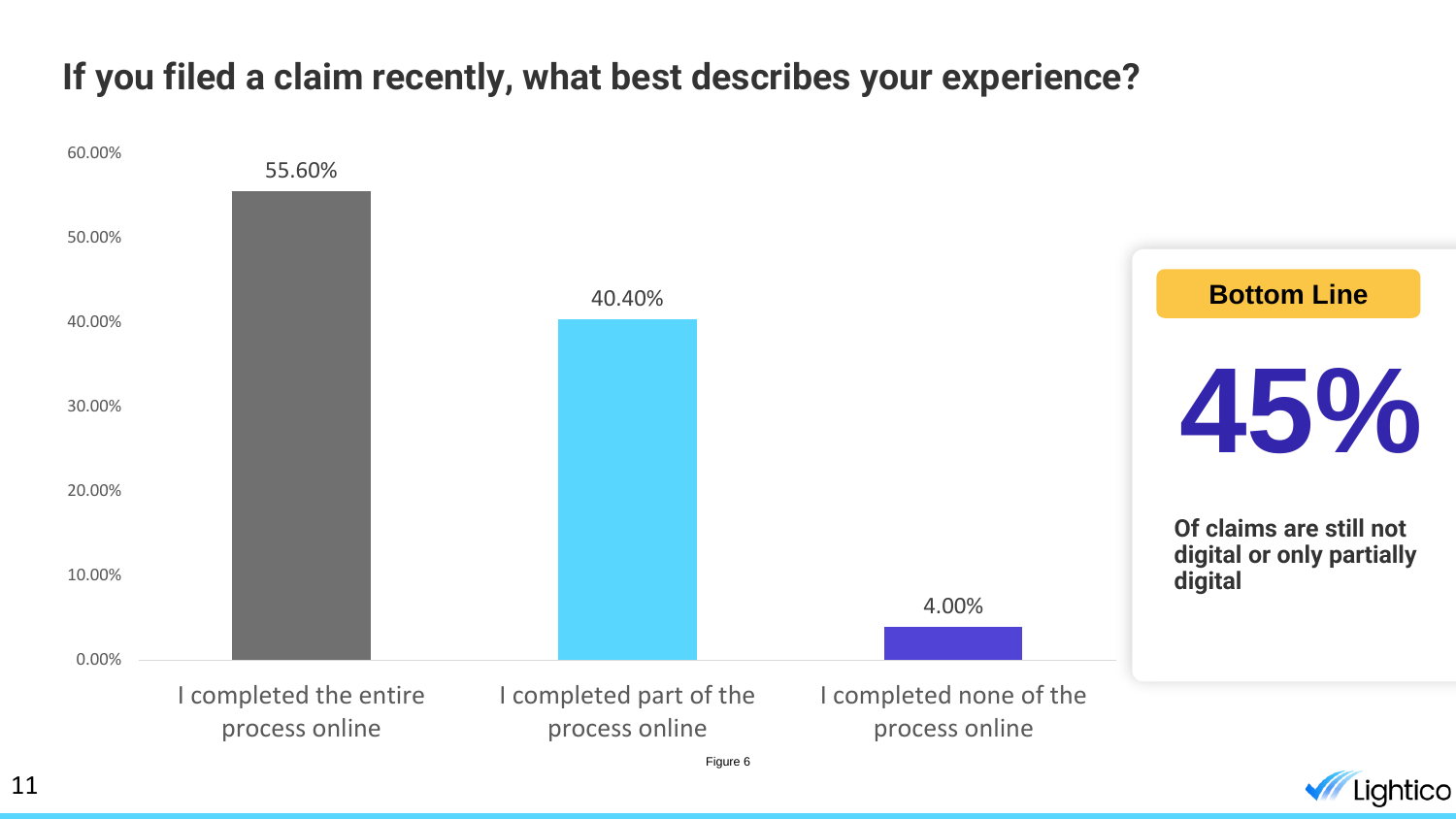### **If you filed a claim recently, what best describes your experience?**



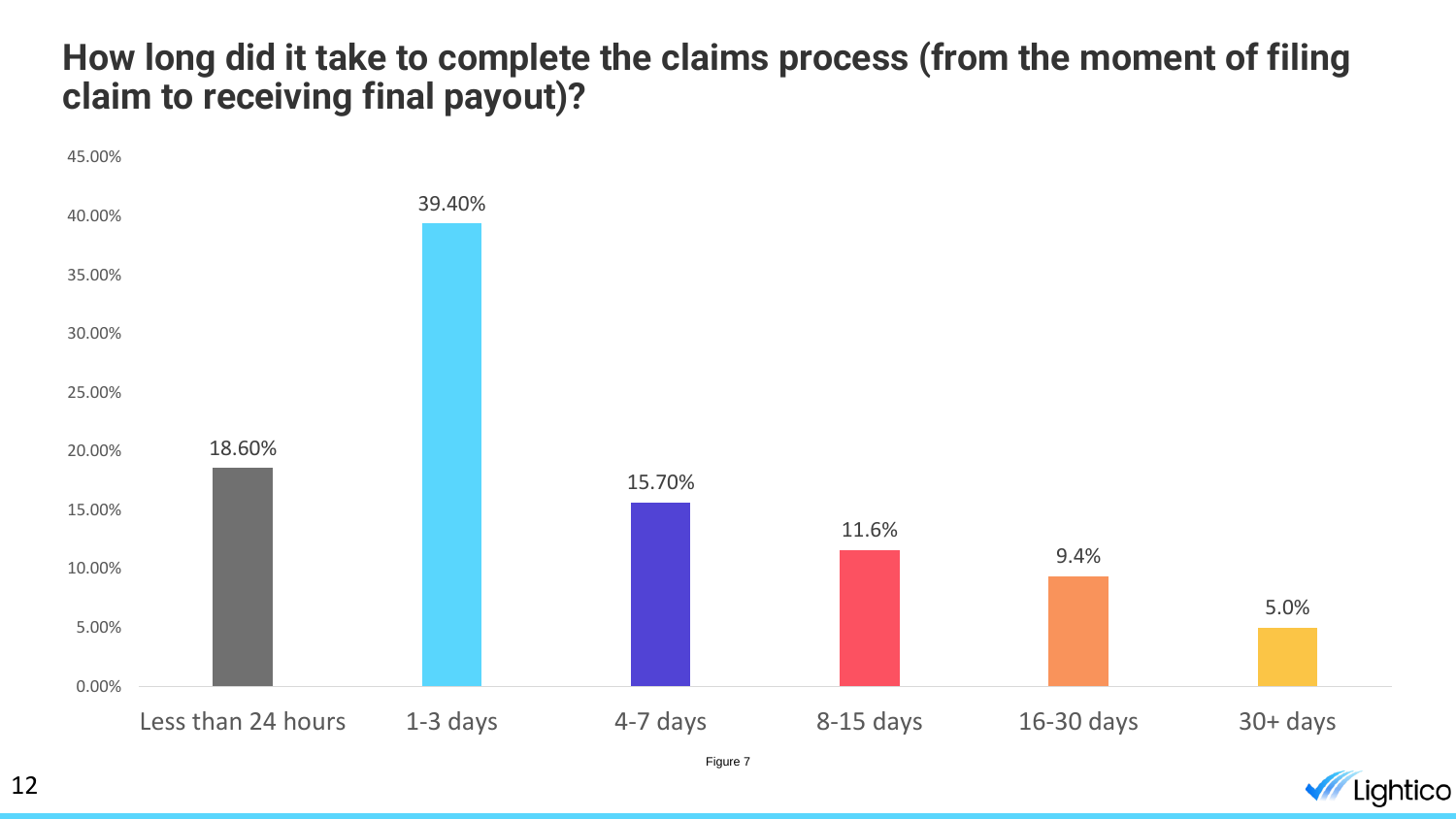#### **How long did it take to complete the claims process (from the moment of filing claim to receiving final payout)?**



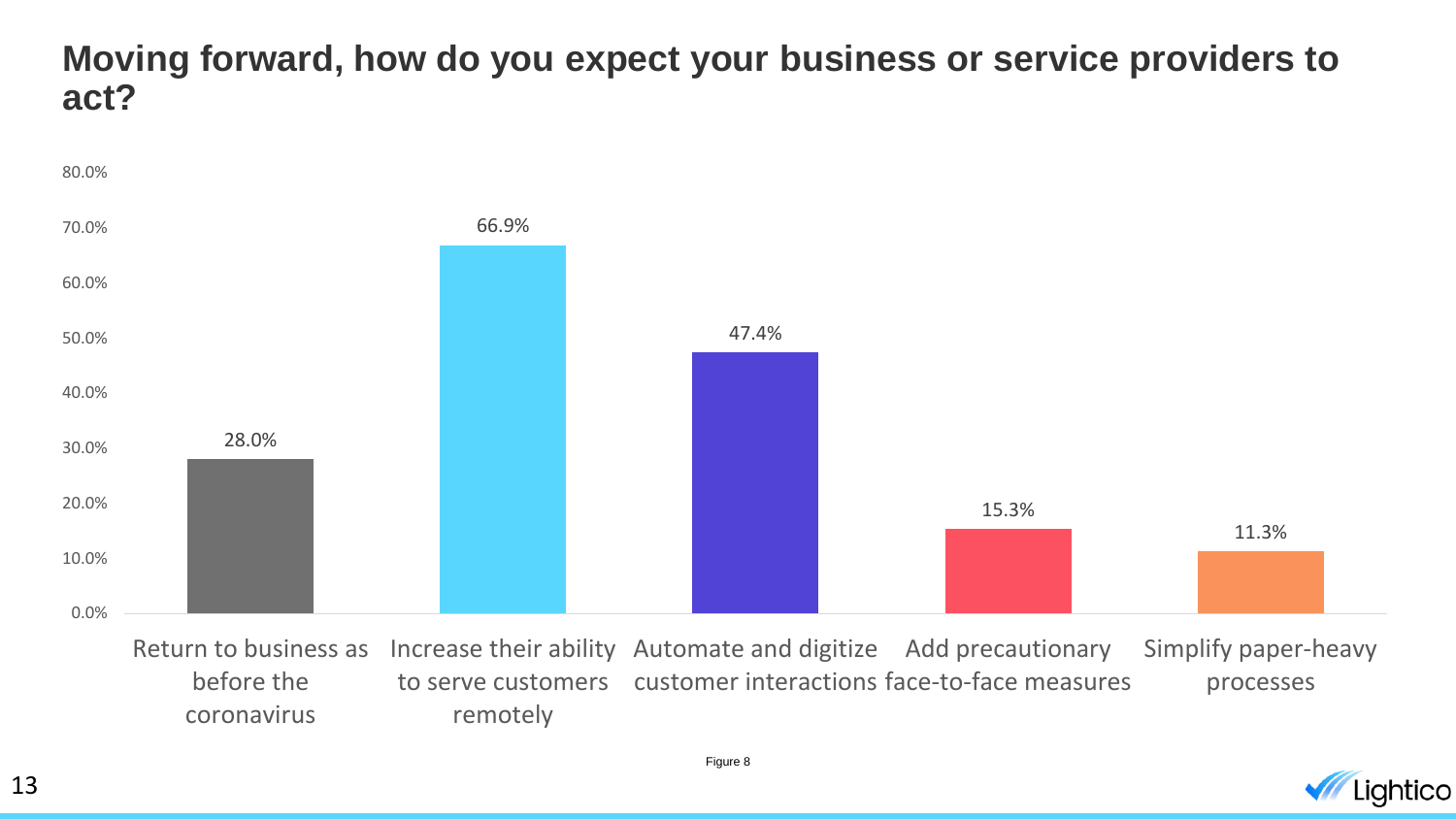#### **Moving forward, how do you expect your business or service providers to act?**



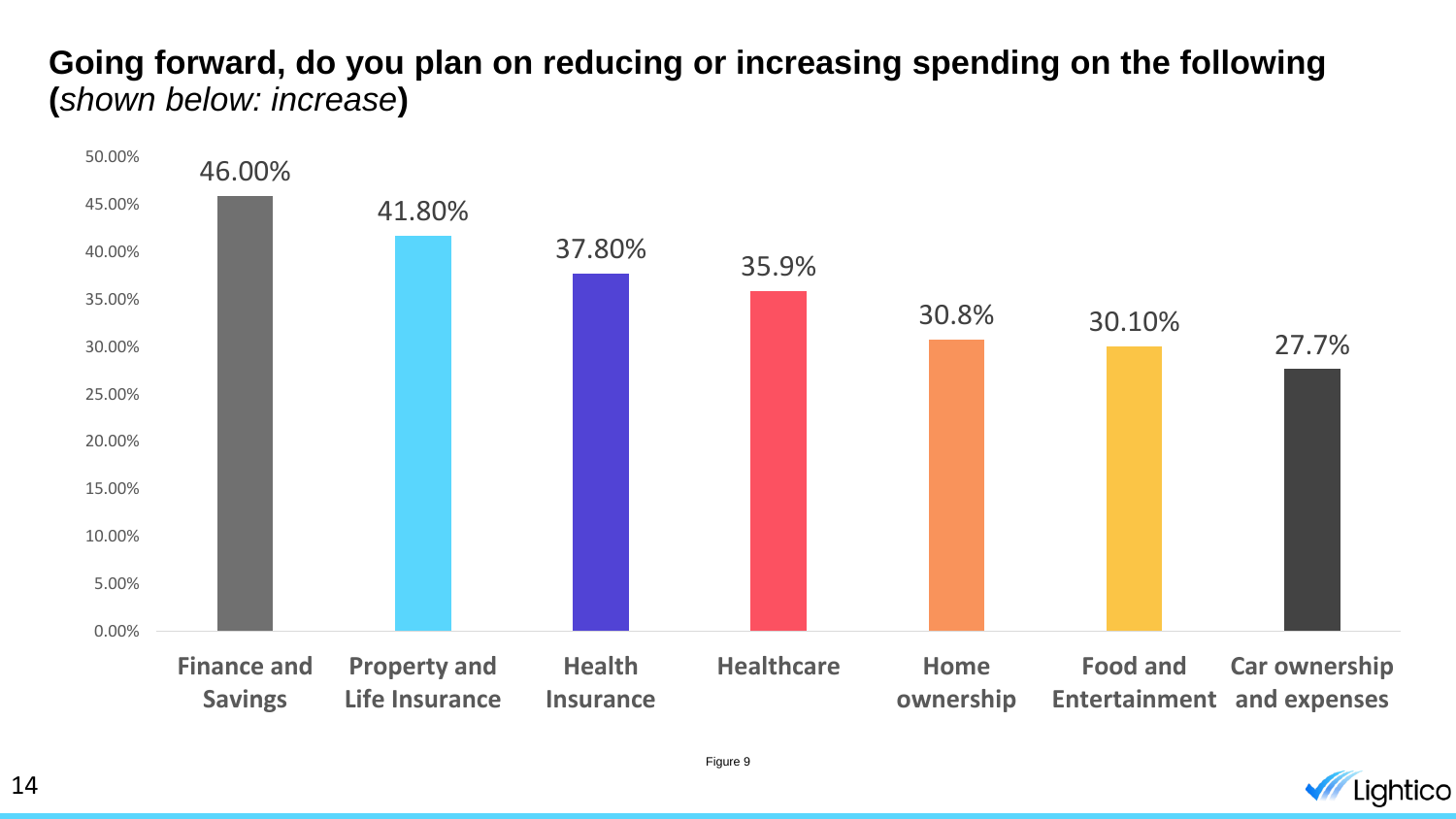#### **Going forward, do you plan on reducing or increasing spending on the following (***shown below: increase***)**